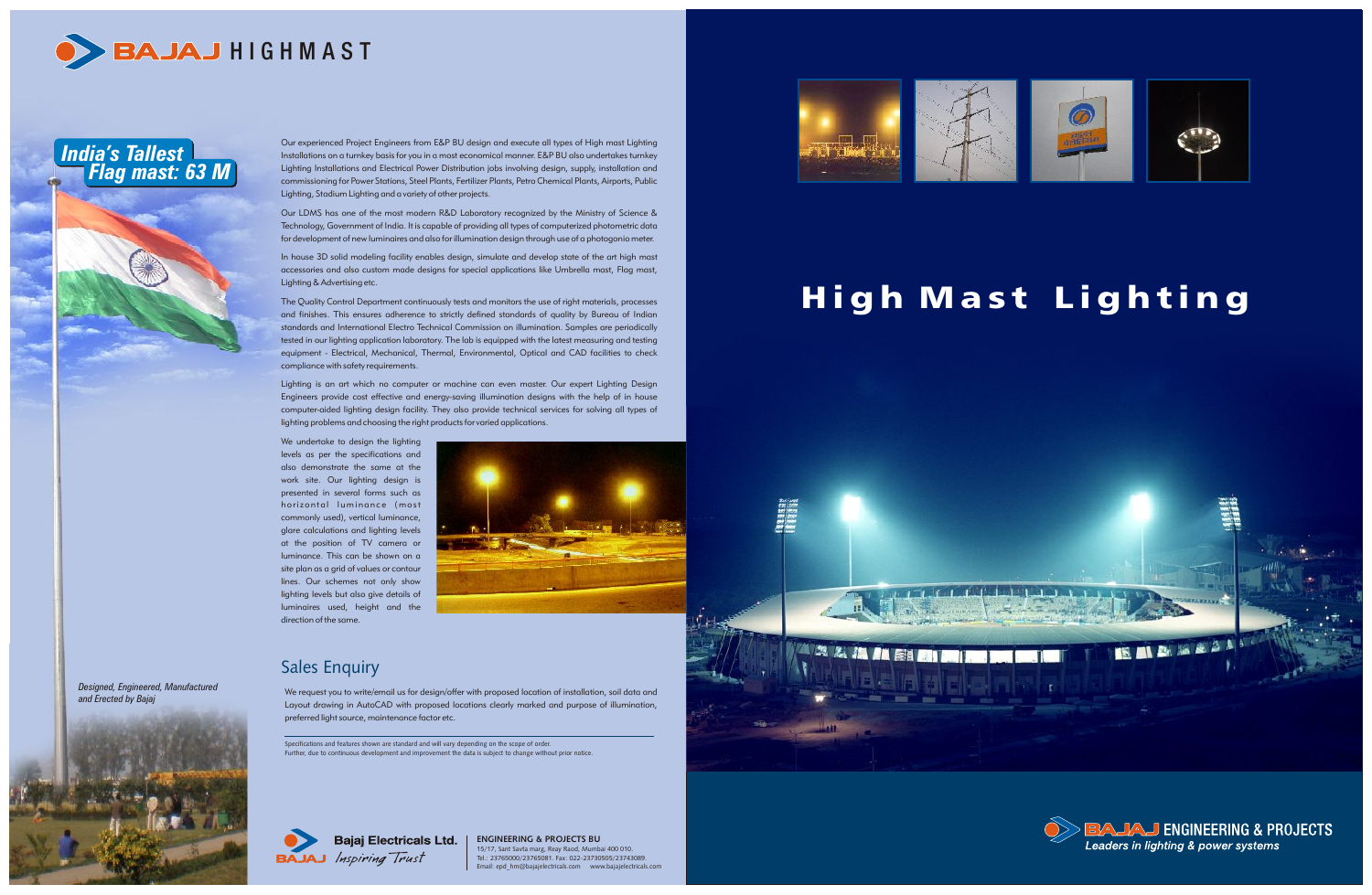**ENGINEERING & PROJECTS BU** 15/17, Sant Savta marg, Reay Raod, Mumbai 400 010. Tel.: 23765000/23765081. Fax: 022-23730505/23743089. Email: epd\_hm@bajajelectricals.com www.bajajelectricals.com





## High Mast Lighting



Our experienced Project Engineers from E&P BU design and execute all types of High mast Lighting Installations on a turnkey basis for you in a most economical manner. E&P BU also undertakes turnkey Lighting Installations and Electrical Power Distribution jobs involving design, supply, installation and commissioning for Power Stations, Steel Plants, Fertilizer Plants, Petro Chemical Plants, Airports, Public Lighting, Stadium Lighting and a variety of other projects.

Our LDMS has one of the most modern R&D Laboratory recognized by the Ministry of Science & Technology, Government of India. It is capable of providing all types of computerized photometric data for development of new luminaires and also for illumination design through use of a photogonio meter.

In house 3D solid modeling facility enables design, simulate and develop state of the art high mast accessories and also custom made designs for special applications like Umbrella mast, Flag mast, Lighting & Advertising etc.

The Quality Control Department continuously tests and monitors the use of right materials, processes and finishes. This ensures adherence to strictly defined standards of quality by Bureau of Indian standards and International Electro Technical Commission on illumination. Samples are periodically tested in our lighting application laboratory. The lab is equipped with the latest measuring and testing equipment - Electrical, Mechanical, Thermal, Environmental, Optical and CAD facilities to check compliance with safety requirements.

We request you to write/email us for design/offer with proposed location of installation, soil data and Layout drawing in AutoCAD with proposed locations clearly marked and purpose of illumination, preferred light source, maintenance factor etc.

Lighting is an art which no computer or machine can even master. Our expert Lighting Design Engineers provide cost effective and energy-saving illumination designs with the help of in house computer-aided lighting design facility. They also provide technical services for solving all types of lighting problems and choosing the right products for varied applications.

We undertake to design the lighting levels as per the specifications and also demonstrate the same at the work site. Our lighting design is presented in several forms such as horizontal luminance (most commonly used), vertical luminance, glare calculations and lighting levels at the position of TV camera or luminance. This can be shown on a site plan as a grid of values or contour lines. Our schemes not only show lighting levels but also give details of luminaires used, height and the direction of the same.





### Sales Enquiry

Specifications and features shown are standard and will vary depending on the scope of order. Further, due to continuous development and improvement the data is subject to change without prior notice.



### *India's Tallest Flag mast: 63 M*

*Designed, Engineered, Manufactured*